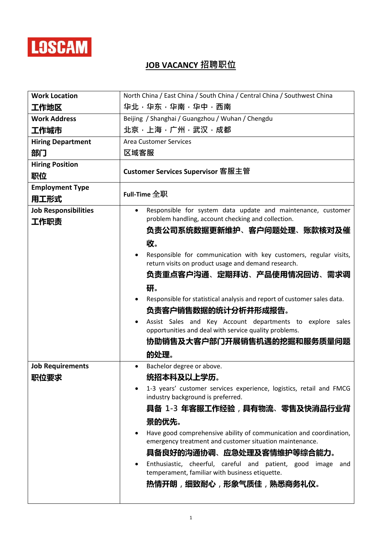

## **JOB VACANCY 招聘职位**

| <b>Work Location</b>                | North China / East China / South China / Central China / Southwest China                                                                                                                                                                                                                                                                                                                                                                                                                                                                                                             |
|-------------------------------------|--------------------------------------------------------------------------------------------------------------------------------------------------------------------------------------------------------------------------------------------------------------------------------------------------------------------------------------------------------------------------------------------------------------------------------------------------------------------------------------------------------------------------------------------------------------------------------------|
| 工作地区                                | 华北·华东·华南·华中·西南                                                                                                                                                                                                                                                                                                                                                                                                                                                                                                                                                                       |
| <b>Work Address</b>                 | Beijing / Shanghai / Guangzhou / Wuhan / Chengdu                                                                                                                                                                                                                                                                                                                                                                                                                                                                                                                                     |
| 工作城市                                | 北京·上海·广州·武汉·成都                                                                                                                                                                                                                                                                                                                                                                                                                                                                                                                                                                       |
| <b>Hiring Department</b>            | <b>Area Customer Services</b>                                                                                                                                                                                                                                                                                                                                                                                                                                                                                                                                                        |
| 部门                                  | 区域客服                                                                                                                                                                                                                                                                                                                                                                                                                                                                                                                                                                                 |
| <b>Hiring Position</b><br>职位        | <b>Customer Services Supervisor 客服主管</b>                                                                                                                                                                                                                                                                                                                                                                                                                                                                                                                                             |
| <b>Employment Type</b><br>用工形式      | Full-Time $ 2 \nexists \mathbb{R}$                                                                                                                                                                                                                                                                                                                                                                                                                                                                                                                                                   |
| <b>Job Responsibilities</b><br>工作职责 | Responsible for system data update and maintenance, customer<br>problem handling, account checking and collection.<br>负责公司系统数据更新维护、客户问题处理、账款核对及催<br>收。<br>Responsible for communication with key customers, regular visits,<br>return visits on product usage and demand research.<br>负责重点客户沟通、定期拜访、产品使用情况回访、需求调<br>研。<br>Responsible for statistical analysis and report of customer sales data.<br>负责客户销售数据的统计分析并形成报告。<br>Assist Sales and Key Account departments to explore sales<br>opportunities and deal with service quality problems.<br>协助销售及大客户部门开展销售机遇的挖掘和服务质量问题<br>的处理。 |
| <b>Job Requirements</b>             | Bachelor degree or above.                                                                                                                                                                                                                                                                                                                                                                                                                                                                                                                                                            |
| 职位要求                                | 统招本科及以上学历。                                                                                                                                                                                                                                                                                                                                                                                                                                                                                                                                                                           |
|                                     | 1-3 years' customer services experience, logistics, retail and FMCG<br>industry background is preferred.<br>具备 1-3 年客服工作经验,具有物流、零售及快消品行业背<br>景的优先。                                                                                                                                                                                                                                                                                                                                                                                                                                   |
|                                     | Have good comprehensive ability of communication and coordination,<br>emergency treatment and customer situation maintenance.<br>具备良好的沟通协调、应急处理及客情维护等综合能力。                                                                                                                                                                                                                                                                                                                                                                                                                           |
|                                     | Enthusiastic, cheerful, careful and patient, good image and<br>temperament, familiar with business etiquette.<br>热情开朗,细致耐心,形象气质佳,熟悉商务礼仪。                                                                                                                                                                                                                                                                                                                                                                                                                                             |